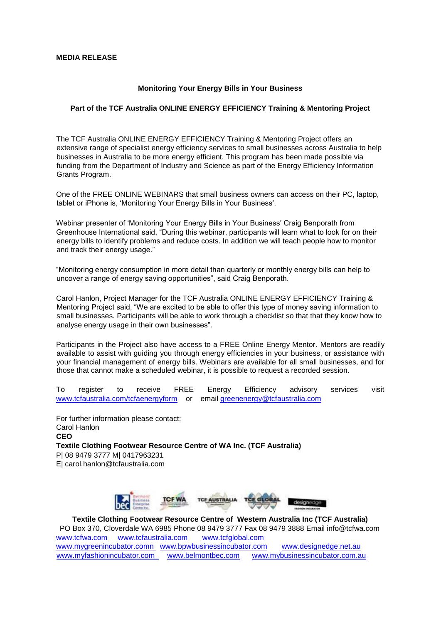## **MEDIA RELEASE**

## **Monitoring Your Energy Bills in Your Business**

## **Part of the TCF Australia ONLINE ENERGY EFFICIENCY Training & Mentoring Project**

The TCF Australia ONLINE ENERGY EFFICIENCY Training & Mentoring Project offers an extensive range of specialist energy efficiency services to small businesses across Australia to help businesses in Australia to be more energy efficient. This program has been made possible via funding from the Department of Industry and Science as part of the Energy Efficiency Information Grants Program.

One of the FREE ONLINE WEBINARS that small business owners can access on their PC, laptop, tablet or iPhone is, 'Monitoring Your Energy Bills in Your Business'.

Webinar presenter of 'Monitoring Your Energy Bills in Your Business' Craig Benporath from Greenhouse International said, "During this webinar, participants will learn what to look for on their energy bills to identify problems and reduce costs. In addition we will teach people how to monitor and track their energy usage."

"Monitoring energy consumption in more detail than quarterly or monthly energy bills can help to uncover a range of energy saving opportunities", said Craig Benporath.

Carol Hanlon, Project Manager for the TCF Australia ONLINE ENERGY EFFICIENCY Training & Mentoring Project said, "We are excited to be able to offer this type of money saving information to small businesses. Participants will be able to work through a checklist so that that they know how to analyse energy usage in their own businesses".

Participants in the Project also have access to a FREE Online Energy Mentor. Mentors are readily available to assist with guiding you through energy efficiencies in your business, or assistance with your financial management of energy bills. Webinars are available for all small businesses, and for those that cannot make a scheduled webinar, it is possible to request a recorded session.

To register to receive FREE Energy Efficiency advisory services visit [www.tcfaustralia.com/tcfaenergyform](http://www.tcfaustralia.com/tcfaenergyform) or email greenenergy@tcfaustralia.com

For further information please contact: Carol Hanlon **CEO Textile Clothing Footwear Resource Centre of WA Inc. (TCF Australia)**  P| 08 9479 3777 M| 0417963231 E| carol.hanlon@tcfaustralia.com



**Textile Clothing Footwear Resource Centre of Western Australia Inc (TCF Australia)** PO Box 370, Cloverdale WA 6985 Phone 08 9479 3777 Fax 08 9479 3888 Email info@tcfwa.com [www.tcfwa.com](http://www.tcfwa.com/) [www.tcfaustralia.com](http://www.tcfaustralia.com/) [www.tcfglobal.com](http://www.tcfglobal.com/)  [www.mygreenincubator.comn](http://www.mygreenincubator.comn/) [www.bpwbusinessincubator.com](http://www.bpwbusinessincubator.com/) [www.designedge.net.au](http://www.designedge.net.au/)  [www.myfashionincubator.com](http://www.myfashionincubator.com/) [www.belmontbec.com](http://www.belmontbec.com/) [www.mybusinessincubator.com.au](http://www.mybusinessincubator.com.au/)